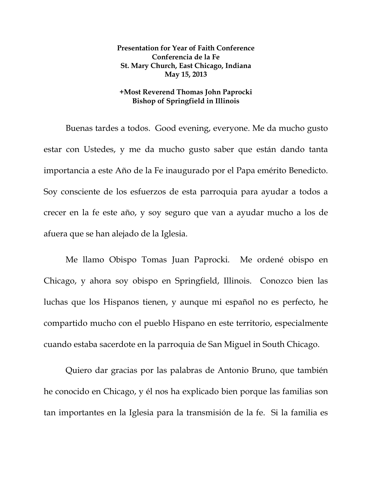## **Presentation for Year of Faith Conference Conferencia de la Fe St. Mary Church, East Chicago, Indiana May 15, 2013**

## **+Most Reverend Thomas John Paprocki Bishop of Springfield in Illinois**

Buenas tardes a todos. Good evening, everyone. Me da mucho gusto estar con Ustedes, y me da mucho gusto saber que están dando tanta importancia a este Año de la Fe inaugurado por el Papa emérito Benedicto. Soy consciente de los esfuerzos de esta parroquia para ayudar a todos a crecer en la fe este año, y soy seguro que van a ayudar mucho a los de afuera que se han alejado de la Iglesia.

 Me llamo Obispo Tomas Juan Paprocki. Me ordené obispo en Chicago, y ahora soy obispo en Springfield, Illinois. Conozco bien las luchas que los Hispanos tienen, y aunque mi español no es perfecto, he compartido mucho con el pueblo Hispano en este territorio, especialmente cuando estaba sacerdote en la parroquia de San Miguel in South Chicago.

 Quiero dar gracias por las palabras de Antonio Bruno, que también he conocido en Chicago, y él nos ha explicado bien porque las familias son tan importantes en la Iglesia para la transmisión de la fe. Si la familia es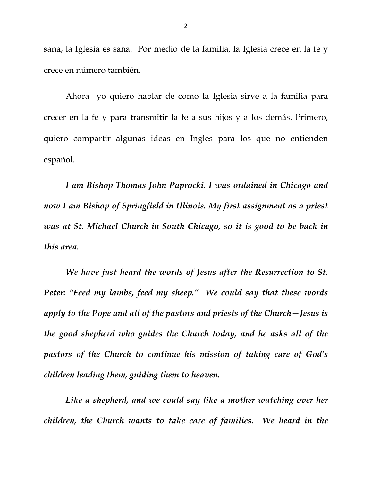sana, la Iglesia es sana. Por medio de la familia, la Iglesia crece en la fe y crece en número también.

 Ahora yo quiero hablar de como la Iglesia sirve a la familia para crecer en la fe y para transmitir la fe a sus hijos y a los demás. Primero, quiero compartir algunas ideas en Ingles para los que no entienden español.

*I am Bishop Thomas John Paprocki. I was ordained in Chicago and now I am Bishop of Springfield in Illinois. My first assignment as a priest was at St. Michael Church in South Chicago, so it is good to be back in this area.* 

*We have just heard the words of Jesus after the Resurrection to St. Peter: "Feed my lambs, feed my sheep." We could say that these words apply to the Pope and all of the pastors and priests of the Church—Jesus is the good shepherd who guides the Church today, and he asks all of the pastors of the Church to continue his mission of taking care of God's children leading them, guiding them to heaven.* 

*Like a shepherd, and we could say like a mother watching over her children, the Church wants to take care of families. We heard in the*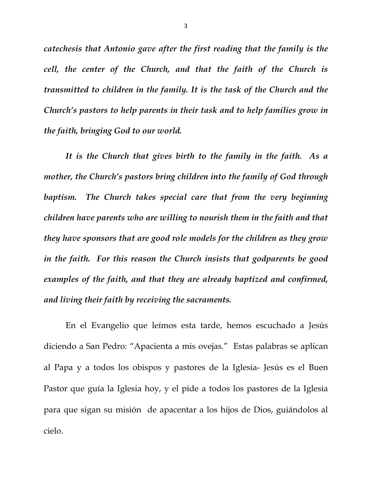*catechesis that Antonio gave after the first reading that the family is the cell, the center of the Church, and that the faith of the Church is transmitted to children in the family. It is the task of the Church and the Church's pastors to help parents in their task and to help families grow in the faith, bringing God to our world.* 

*It is the Church that gives birth to the family in the faith. As a mother, the Church's pastors bring children into the family of God through baptism. The Church takes special care that from the very beginning children have parents who are willing to nourish them in the faith and that they have sponsors that are good role models for the children as they grow in the faith. For this reason the Church insists that godparents be good examples of the faith, and that they are already baptized and confirmed, and living their faith by receiving the sacraments.* 

 En el Evangelio que leímos esta tarde, hemos escuchado a Jesús diciendo a San Pedro: "Apacienta a mis ovejas." Estas palabras se aplican al Papa y a todos los obispos y pastores de la Iglesia- Jesús es el Buen Pastor que guía la Iglesia hoy, y el pide a todos los pastores de la Iglesia para que sigan su misión de apacentar a los hijos de Dios, guiándolos al cielo.

3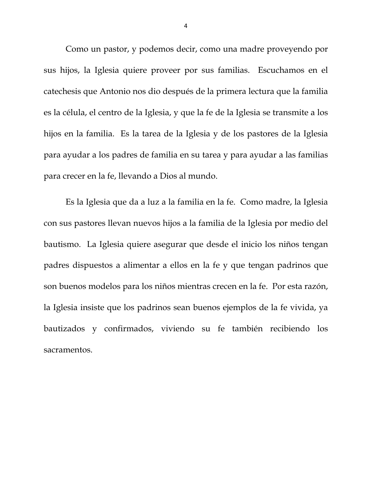Como un pastor, y podemos decir, como una madre proveyendo por sus hijos, la Iglesia quiere proveer por sus familias. Escuchamos en el catechesis que Antonio nos dio después de la primera lectura que la familia es la célula, el centro de la Iglesia, y que la fe de la Iglesia se transmite a los hijos en la familia. Es la tarea de la Iglesia y de los pastores de la Iglesia para ayudar a los padres de familia en su tarea y para ayudar a las familias para crecer en la fe, llevando a Dios al mundo.

 Es la Iglesia que da a luz a la familia en la fe. Como madre, la Iglesia con sus pastores llevan nuevos hijos a la familia de la Iglesia por medio del bautismo. La Iglesia quiere asegurar que desde el inicio los niños tengan padres dispuestos a alimentar a ellos en la fe y que tengan padrinos que son buenos modelos para los niños mientras crecen en la fe. Por esta razón, la Iglesia insiste que los padrinos sean buenos ejemplos de la fe vivida, ya bautizados y confirmados, viviendo su fe también recibiendo los sacramentos.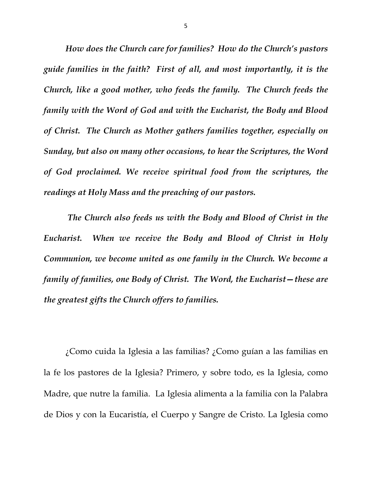*How does the Church care for families? How do the Church's pastors guide families in the faith? First of all, and most importantly, it is the Church, like a good mother, who feeds the family. The Church feeds the family with the Word of God and with the Eucharist, the Body and Blood of Christ. The Church as Mother gathers families together, especially on Sunday, but also on many other occasions, to hear the Scriptures, the Word of God proclaimed. We receive spiritual food from the scriptures, the readings at Holy Mass and the preaching of our pastors.* 

 *The Church also feeds us with the Body and Blood of Christ in the Eucharist. When we receive the Body and Blood of Christ in Holy Communion, we become united as one family in the Church. We become a family of families, one Body of Christ. The Word, the Eucharist—these are the greatest gifts the Church offers to families.* 

¿Como cuida la Iglesia a las familias? ¿Como guían a las familias en la fe los pastores de la Iglesia? Primero, y sobre todo, es la Iglesia, como Madre, que nutre la familia. La Iglesia alimenta a la familia con la Palabra de Dios y con la Eucaristía, el Cuerpo y Sangre de Cristo. La Iglesia como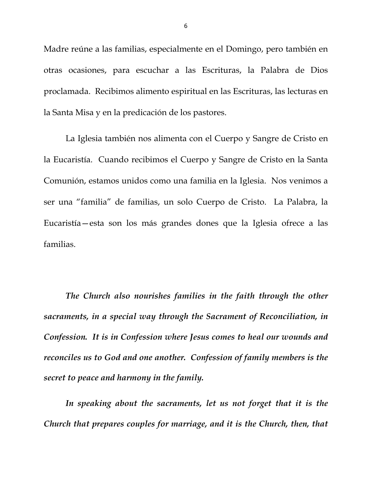Madre reúne a las familias, especialmente en el Domingo, pero también en otras ocasiones, para escuchar a las Escrituras, la Palabra de Dios proclamada. Recibimos alimento espiritual en las Escrituras, las lecturas en la Santa Misa y en la predicación de los pastores.

 La Iglesia también nos alimenta con el Cuerpo y Sangre de Cristo en la Eucaristía. Cuando recibimos el Cuerpo y Sangre de Cristo en la Santa Comunión, estamos unidos como una familia en la Iglesia. Nos venimos a ser una "familia" de familias, un solo Cuerpo de Cristo. La Palabra, la Eucaristía—esta son los más grandes dones que la Iglesia ofrece a las familias.

*The Church also nourishes families in the faith through the other sacraments, in a special way through the Sacrament of Reconciliation, in Confession. It is in Confession where Jesus comes to heal our wounds and reconciles us to God and one another. Confession of family members is the secret to peace and harmony in the family.* 

 *In speaking about the sacraments, let us not forget that it is the Church that prepares couples for marriage, and it is the Church, then, that*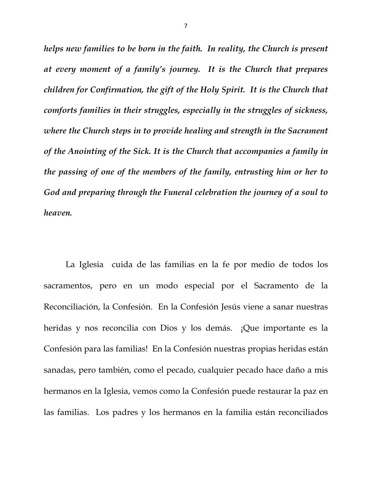*helps new families to be born in the faith. In reality, the Church is present at every moment of a family's journey. It is the Church that prepares children for Confirmation, the gift of the Holy Spirit. It is the Church that comforts families in their struggles, especially in the struggles of sickness, where the Church steps in to provide healing and strength in the Sacrament of the Anointing of the Sick. It is the Church that accompanies a family in the passing of one of the members of the family, entrusting him or her to God and preparing through the Funeral celebration the journey of a soul to heaven.* 

 La Iglesia cuida de las familias en la fe por medio de todos los sacramentos, pero en un modo especial por el Sacramento de la Reconciliación, la Confesión. En la Confesión Jesús viene a sanar nuestras heridas y nos reconcilia con Dios y los demás. ¡Que importante es la Confesión para las familias! En la Confesión nuestras propias heridas están sanadas, pero también, como el pecado, cualquier pecado hace daño a mis hermanos en la Iglesia, vemos como la Confesión puede restaurar la paz en las familias. Los padres y los hermanos en la familia están reconciliados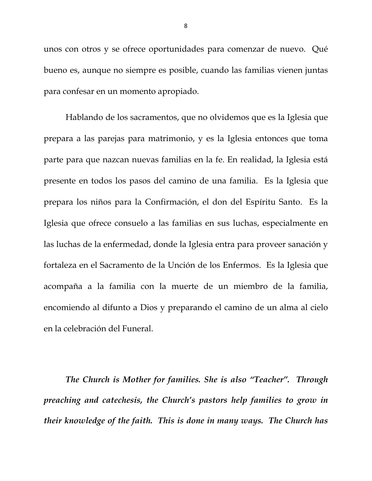unos con otros y se ofrece oportunidades para comenzar de nuevo. Qué bueno es, aunque no siempre es posible, cuando las familias vienen juntas para confesar en un momento apropiado.

 Hablando de los sacramentos, que no olvidemos que es la Iglesia que prepara a las parejas para matrimonio, y es la Iglesia entonces que toma parte para que nazcan nuevas familias en la fe. En realidad, la Iglesia está presente en todos los pasos del camino de una familia. Es la Iglesia que prepara los niños para la Confirmación, el don del Espíritu Santo. Es la Iglesia que ofrece consuelo a las familias en sus luchas, especialmente en las luchas de la enfermedad, donde la Iglesia entra para proveer sanación y fortaleza en el Sacramento de la Unción de los Enfermos. Es la Iglesia que acompaña a la familia con la muerte de un miembro de la familia, encomiendo al difunto a Dios y preparando el camino de un alma al cielo en la celebración del Funeral.

*The Church is Mother for families. She is also "Teacher". Through preaching and catechesis, the Church's pastors help families to grow in their knowledge of the faith. This is done in many ways. The Church has*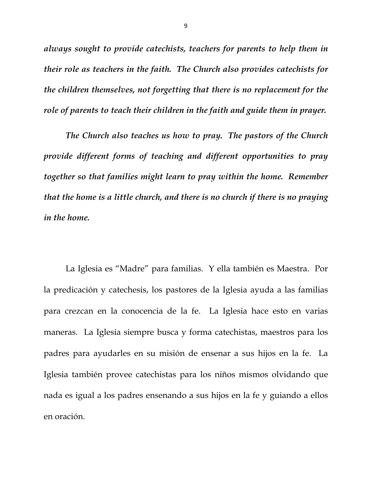*always sought to provide catechists, teachers for parents to help them in their role as teachers in the faith. The Church also provides catechists for the children themselves, not forgetting that there is no replacement for the role of parents to teach their children in the faith and guide them in prayer.* 

*The Church also teaches us how to pray. The pastors of the Church provide different forms of teaching and different opportunities to pray together so that families might learn to pray within the home. Remember that the home is a little church, and there is no church if there is no praying in the home.* 

 La Iglesia es "Madre" para familias. Y ella también es Maestra. Por la predicación y catechesis, los pastores de la Iglesia ayuda a las familias para crezcan en la conocencia de la fe. La Iglesia hace esto en varias maneras. La Iglesia siempre busca y forma catechistas, maestros para los padres para ayudarles en su misión de ensenar a sus hijos en la fe. La Iglesia también provee catechistas para los niños mismos olvidando que nada es igual a los padres ensenando a sus hijos en la fe y guiando a ellos en oración.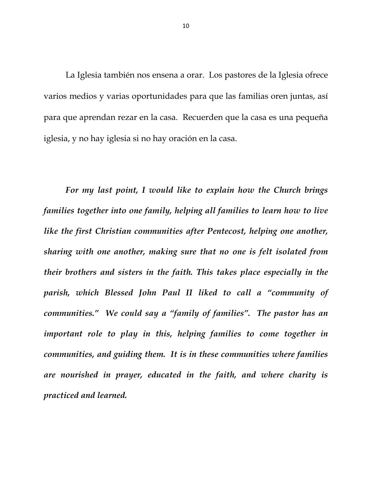La Iglesia también nos ensena a orar. Los pastores de la Iglesia ofrece varios medios y varias oportunidades para que las familias oren juntas, así para que aprendan rezar en la casa. Recuerden que la casa es una pequeña iglesia, y no hay iglesia si no hay oración en la casa.

*For my last point, I would like to explain how the Church brings families together into one family, helping all families to learn how to live like the first Christian communities after Pentecost, helping one another, sharing with one another, making sure that no one is felt isolated from their brothers and sisters in the faith. This takes place especially in the parish, which Blessed John Paul II liked to call a "community of communities." We could say a "family of families". The pastor has an important role to play in this, helping families to come together in communities, and guiding them. It is in these communities where families are nourished in prayer, educated in the faith, and where charity is practiced and learned.*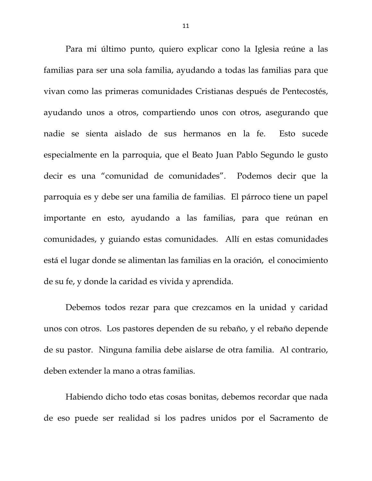Para mi último punto, quiero explicar cono la Iglesia reúne a las familias para ser una sola familia, ayudando a todas las familias para que vivan como las primeras comunidades Cristianas después de Pentecostés, ayudando unos a otros, compartiendo unos con otros, asegurando que nadie se sienta aislado de sus hermanos en la fe. Esto sucede especialmente en la parroquia, que el Beato Juan Pablo Segundo le gusto decir es una "comunidad de comunidades". Podemos decir que la parroquia es y debe ser una familia de familias. El párroco tiene un papel importante en esto, ayudando a las familias, para que reúnan en comunidades, y guiando estas comunidades. Allí en estas comunidades está el lugar donde se alimentan las familias en la oración, el conocimiento de su fe, y donde la caridad es vivida y aprendida.

 Debemos todos rezar para que crezcamos en la unidad y caridad unos con otros. Los pastores dependen de su rebaño, y el rebaño depende de su pastor. Ninguna familia debe aislarse de otra familia. Al contrario, deben extender la mano a otras familias.

 Habiendo dicho todo etas cosas bonitas, debemos recordar que nada de eso puede ser realidad si los padres unidos por el Sacramento de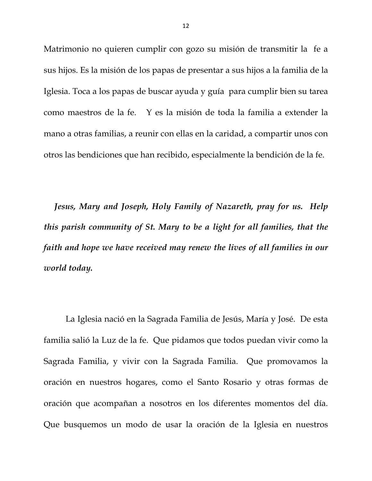Matrimonio no quieren cumplir con gozo su misión de transmitir la fe a sus hijos. Es la misión de los papas de presentar a sus hijos a la familia de la Iglesia. Toca a los papas de buscar ayuda y guía para cumplir bien su tarea como maestros de la fe. Y es la misión de toda la familia a extender la mano a otras familias, a reunir con ellas en la caridad, a compartir unos con otros las bendiciones que han recibido, especialmente la bendición de la fe.

 *Jesus, Mary and Joseph, Holy Family of Nazareth, pray for us. Help this parish community of St. Mary to be a light for all families, that the faith and hope we have received may renew the lives of all families in our world today.* 

La Iglesia nació en la Sagrada Familia de Jesús, María y José. De esta familia salió la Luz de la fe. Que pidamos que todos puedan vivir como la Sagrada Familia, y vivir con la Sagrada Familia. Que promovamos la oración en nuestros hogares, como el Santo Rosario y otras formas de oración que acompañan a nosotros en los diferentes momentos del día. Que busquemos un modo de usar la oración de la Iglesia en nuestros